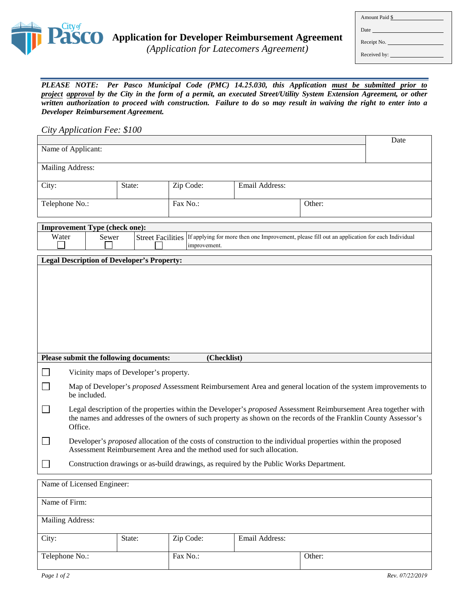

*(Application for Latecomers Agreement)*

| Amount Paid \$ |  |  |  |  |
|----------------|--|--|--|--|
|                |  |  |  |  |
| Receipt No.    |  |  |  |  |
|                |  |  |  |  |
|                |  |  |  |  |

*PLEASE NOTE: Per Pasco Municipal Code (PMC) 14.25.030, this Application must be submitted prior to project approval by the City in the form of a permit, an executed Street/Utility System Extension Agreement, or other written authorization to proceed with construction. Failure to do so may result in waiving the right to enter into a Developer Reimbursement Agreement.* 

*City Application Fee: \$100* 

|                            |                                                                                                                                                                                                                                                |                                        |             |        |  | Date |
|----------------------------|------------------------------------------------------------------------------------------------------------------------------------------------------------------------------------------------------------------------------------------------|----------------------------------------|-------------|--------|--|------|
| Name of Applicant:         |                                                                                                                                                                                                                                                |                                        |             |        |  |      |
|                            | Mailing Address:                                                                                                                                                                                                                               |                                        |             |        |  |      |
| City:<br>State:            |                                                                                                                                                                                                                                                | Email Address:<br>Zip Code:            |             |        |  |      |
| Telephone No.:             |                                                                                                                                                                                                                                                | Fax No.:                               |             | Other: |  |      |
|                            |                                                                                                                                                                                                                                                |                                        |             |        |  |      |
|                            | <b>Improvement Type (check one):</b><br>Water<br><b>Street Facilities</b><br>If applying for more then one Improvement, please fill out an application for each Individual<br>Sewer<br>improvement.                                            |                                        |             |        |  |      |
|                            | <b>Legal Description of Developer's Property:</b>                                                                                                                                                                                              |                                        |             |        |  |      |
|                            |                                                                                                                                                                                                                                                |                                        |             |        |  |      |
|                            | Please submit the following documents:                                                                                                                                                                                                         |                                        | (Checklist) |        |  |      |
|                            |                                                                                                                                                                                                                                                | Vicinity maps of Developer's property. |             |        |  |      |
|                            | Map of Developer's proposed Assessment Reimbursement Area and general location of the system improvements to<br>be included.                                                                                                                   |                                        |             |        |  |      |
|                            | Legal description of the properties within the Developer's proposed Assessment Reimbursement Area together with<br>the names and addresses of the owners of such property as shown on the records of the Franklin County Assessor's<br>Office. |                                        |             |        |  |      |
|                            | Developer's proposed allocation of the costs of construction to the individual properties within the proposed<br>Assessment Reimbursement Area and the method used for such allocation.                                                        |                                        |             |        |  |      |
| ×                          | Construction drawings or as-build drawings, as required by the Public Works Department.                                                                                                                                                        |                                        |             |        |  |      |
| Name of Licensed Engineer: |                                                                                                                                                                                                                                                |                                        |             |        |  |      |
| Name of Firm:              |                                                                                                                                                                                                                                                |                                        |             |        |  |      |
| Mailing Address:           |                                                                                                                                                                                                                                                |                                        |             |        |  |      |

| City:          | State: | Zip Code: | Email Address: |        |
|----------------|--------|-----------|----------------|--------|
| Telephone No.: |        | Fax No.:  |                | Other: |